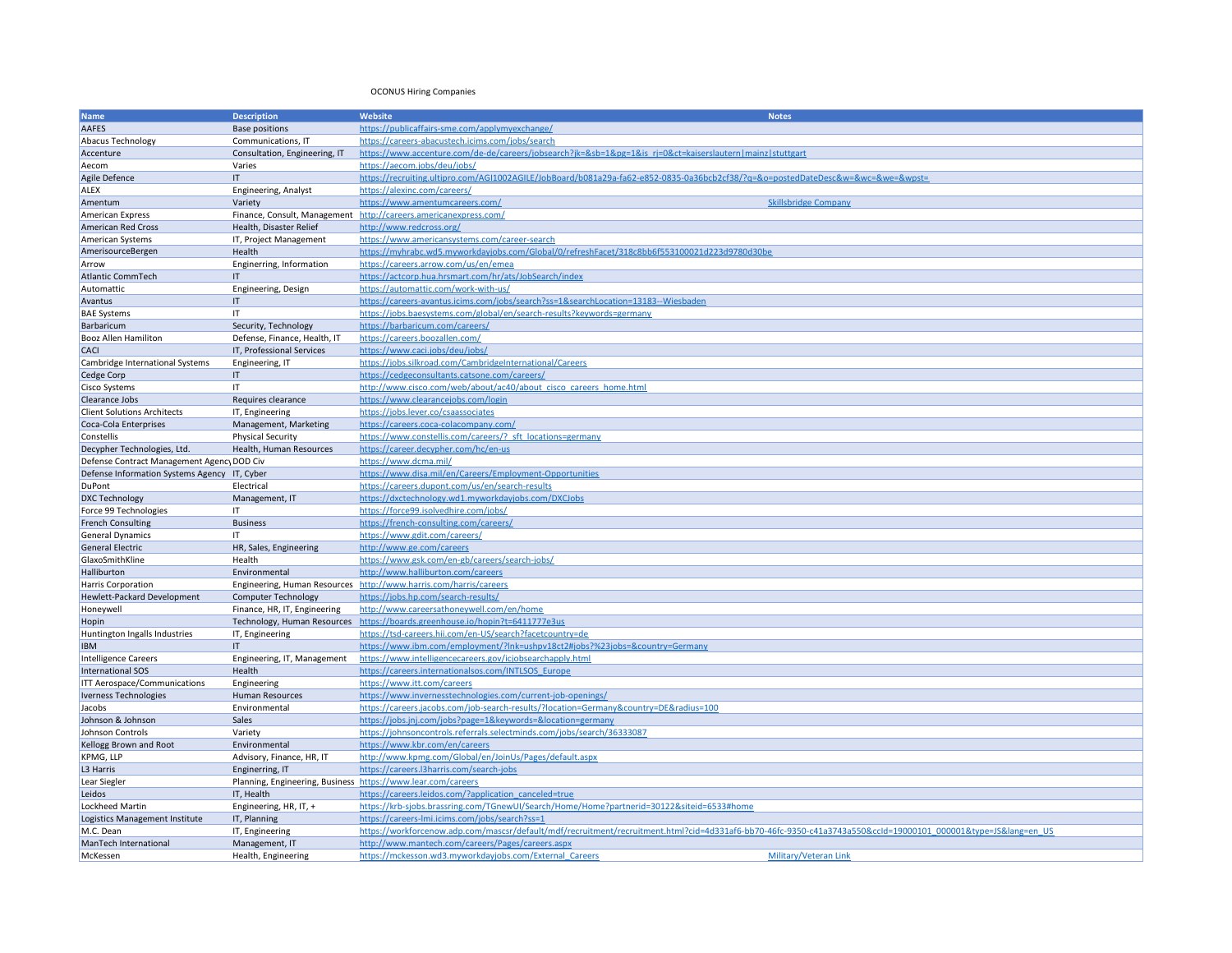## OCONUS Hiring Companies

| <b>Name</b>                                  | <b>Description</b>                                           | Website<br><b>Notes</b>                                                                                                                                   |
|----------------------------------------------|--------------------------------------------------------------|-----------------------------------------------------------------------------------------------------------------------------------------------------------|
| <b>AAFES</b>                                 | <b>Base positions</b>                                        | https://publicaffairs-sme.com/applymyexchange/                                                                                                            |
| Abacus Technology                            | Communications, IT                                           | https://careers-abacustech.icims.com/jobs/search                                                                                                          |
| Accenture                                    | Consultation, Engineering, IT                                | https://www.accenture.com/de-de/careers/jobsearch?jk=&sb=1&pg=1&is_rj=0&ct=kaiserslautern mainz stuttgart                                                 |
| Aecom                                        | Varies                                                       | https://aecom.jobs/deu/jobs/                                                                                                                              |
| Agile Defence                                | $\mathsf{I}\mathsf{T}$                                       | https://recruiting.ultipro.com/AGI1002AGILE/JobBoard/b081a29a-fa62-e852-0835-0a36bcb2cf38/?q=&o=postedDateDesc&w=&wc=&we=&wpst=                           |
| ALEX                                         | Engineering, Analyst                                         | https://alexinc.com/careers/                                                                                                                              |
| Amentum                                      | Variety                                                      | <b>Skillsbridge Company</b><br>https://www.amentumcareers.com/                                                                                            |
|                                              |                                                              | Finance, Consult, Management http://careers.americanexpress.com/                                                                                          |
| American Express                             |                                                              |                                                                                                                                                           |
| <b>American Red Cross</b>                    | Health, Disaster Relief                                      | http://www.redcross.org/                                                                                                                                  |
| American Systems                             | IT, Project Management                                       | https://www.americansystems.com/career-search                                                                                                             |
| AmerisourceBergen                            | Health                                                       | https://myhrabc.wd5.myworkdayjobs.com/Global/0/refreshFacet/318c8bb6f553100021d223d9780d30be                                                              |
| Arrow                                        | Enginerring, Information                                     | https://careers.arrow.com/us/en/emea                                                                                                                      |
| <b>Atlantic CommTech</b>                     | $\mathsf{I}\mathsf{T}$                                       | https://actcorp.hua.hrsmart.com/hr/ats/JobSearch/index                                                                                                    |
| Automattic                                   | Engineering, Design                                          | https://automattic.com/work-with-us/                                                                                                                      |
| Avantus                                      | $\sf IT$                                                     | https://careers-avantus.icims.com/jobs/search?ss=1&searchLocation=13183--Wiesbaden                                                                        |
| <b>BAE Systems</b>                           | IT                                                           | https://jobs.baesystems.com/global/en/search-results?keywords=germany                                                                                     |
| Barbaricum                                   | Security, Technology                                         | https://barbaricum.com/careers/                                                                                                                           |
| <b>Booz Allen Hamiliton</b>                  | Defense, Finance, Health, IT                                 | https://careers.boozallen.com/                                                                                                                            |
| <b>CACI</b>                                  | IT, Professional Services                                    | https://www.caci.jobs/deu/jobs/                                                                                                                           |
| Cambridge International Systems              | Engineering, IT                                              | https://jobs.silkroad.com/CambridgeInternational/Careers                                                                                                  |
| Cedge Corp                                   | $\mathsf{I}\mathsf{T}$                                       | https://cedgeconsultants.catsone.com/careers/                                                                                                             |
| Cisco Systems                                | $\sf IT$                                                     | http://www.cisco.com/web/about/ac40/about cisco careers home.html                                                                                         |
| Clearance Jobs                               | Requires clearance                                           | https://www.clearancejobs.com/login                                                                                                                       |
| <b>Client Solutions Architects</b>           | IT, Engineering                                              | https://jobs.lever.co/csaassociates                                                                                                                       |
| Coca-Cola Enterprises                        | Management, Marketing                                        | https://careers.coca-colacompany.com/                                                                                                                     |
| Constellis                                   | <b>Physical Security</b>                                     | https://www.constellis.com/careers/? sft locations=germany                                                                                                |
| Decypher Technologies, Ltd.                  | Health, Human Resources                                      | https://career.decypher.com/hc/en-us                                                                                                                      |
| Defense Contract Management Agency DOD Civ   |                                                              | https://www.dcma.mil/                                                                                                                                     |
| Defense Information Systems Agency IT, Cyber |                                                              | https://www.disa.mil/en/Careers/Employment-Opportunities                                                                                                  |
| DuPont                                       | Electrical                                                   | https://careers.dupont.com/us/en/search-results                                                                                                           |
| <b>DXC Technology</b>                        | Management, IT                                               | https://dxctechnology.wd1.myworkdayjobs.com/DXCJobs                                                                                                       |
| Force 99 Technologies                        | $\sf IT$                                                     | https://force99.isolvedhire.com/jobs/                                                                                                                     |
| <b>French Consulting</b>                     | <b>Business</b>                                              | https://french-consulting.com/careers/                                                                                                                    |
| <b>General Dynamics</b>                      | IT                                                           | https://www.gdit.com/careers/                                                                                                                             |
|                                              |                                                              |                                                                                                                                                           |
| <b>General Electric</b>                      | HR, Sales, Engineering                                       | http://www.ge.com/careers<br>https://www.gsk.com/en-gb/careers/search-jobs/                                                                               |
| GlaxoSmithKline                              | Health                                                       |                                                                                                                                                           |
| Halliburton                                  | Environmental                                                | http://www.halliburton.com/careers                                                                                                                        |
| Harris Corporation                           |                                                              | Engineering, Human Resources http://www.harris.com/harris/careers                                                                                         |
| <b>Hewlett-Packard Development</b>           | <b>Computer Technology</b>                                   | https://jobs.hp.com/search-results/                                                                                                                       |
| Honeywell                                    | Finance, HR, IT, Engineering                                 | http://www.careersathoneywell.com/en/home                                                                                                                 |
| Hopin                                        | Technology, Human Resources                                  | https://boards.greenhouse.io/hopin?t=6411777e3us                                                                                                          |
| Huntington Ingalls Industries                | IT, Engineering                                              | https://tsd-careers.hii.com/en-US/search?facetcountry=de                                                                                                  |
| <b>IBM</b>                                   | $\sf IT$                                                     | https://www.ibm.com/employment/?lnk=ushpv18ct2#jobs?%23jobs=&country=Germany                                                                              |
| <b>Intelligence Careers</b>                  | Engineering, IT, Management                                  | https://www.intelligencecareers.gov/icjobsearchapply.html                                                                                                 |
| <b>International SOS</b>                     | Health                                                       | https://careers.internationalsos.com/INTLSOS Europe                                                                                                       |
| ITT Aerospace/Communications                 | Engineering                                                  | https://www.itt.com/careers                                                                                                                               |
| Iverness Technologies                        | Human Resources                                              | https://www.invernesstechnologies.com/current-job-openings/                                                                                               |
| Jacobs                                       | Environmental                                                | https://careers.jacobs.com/job-search-results/?location=Germany&country=DE&radius=100                                                                     |
| Johnson & Johnson                            | Sales                                                        | https://jobs.jnj.com/jobs?page=1&keywords=&location=germany                                                                                               |
| Johnson Controls                             | Variety                                                      | https://johnsoncontrols.referrals.selectminds.com/jobs/search/36333087                                                                                    |
| <b>Kellogg Brown and Root</b>                | Environmental                                                | https://www.kbr.com/en/careers                                                                                                                            |
| KPMG, LLP                                    | Advisory, Finance, HR, IT                                    | http://www.kpmg.com/Global/en/JoinUs/Pages/default.aspx                                                                                                   |
| L3 Harris                                    | Enginerring, IT                                              | https://careers.l3harris.com/search-jobs                                                                                                                  |
| Lear Siegler                                 | Planning, Engineering, Business https://www.lear.com/careers |                                                                                                                                                           |
| Leidos                                       | IT, Health                                                   | https://careers.leidos.com/?application_canceled=true                                                                                                     |
| Lockheed Martin                              | Engineering, HR, IT, +                                       | https://krb-sjobs.brassring.com/TGnewUI/Search/Home/Home?partnerid=30122&siteid=6533#home                                                                 |
| Logistics Management Institute               | IT, Planning                                                 | https://careers-lmi.icims.com/jobs/search?ss=1                                                                                                            |
| M.C. Dean                                    | IT, Engineering                                              | https://workforcenow.adp.com/mascsr/default/mdf/recruitment/recruitment.html?cid=4d331af6-bb70-46fc-9350-c41a3743a550&ccId=19000101 000001&type=JS⟨=en US |
| ManTech International                        | Management, IT                                               | http://www.mantech.com/careers/Pages/careers.aspx                                                                                                         |
| McKessen                                     | Health, Engineering                                          | https://mckesson.wd3.myworkdayjobs.com/External Careers<br>Military/Veteran Link                                                                          |
|                                              |                                                              |                                                                                                                                                           |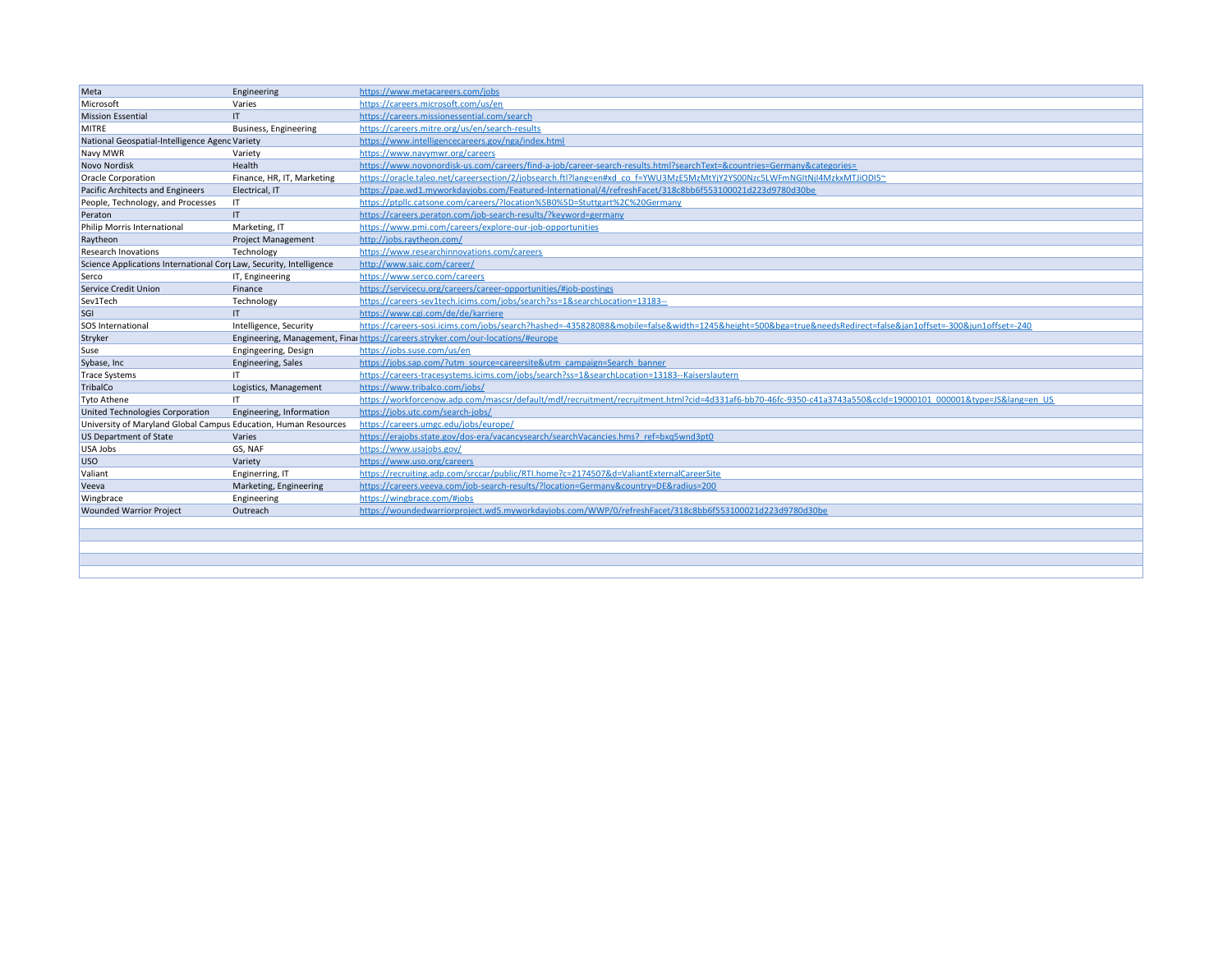| Meta                                                                | Engineering                  | https://www.metacareers.com/jobs                                                                                                                             |
|---------------------------------------------------------------------|------------------------------|--------------------------------------------------------------------------------------------------------------------------------------------------------------|
| Microsoft                                                           | Varies                       | https://careers.microsoft.com/us/en                                                                                                                          |
| <b>Mission Essential</b>                                            | IT.                          | https://careers.missionessential.com/search                                                                                                                  |
| <b>MITRE</b>                                                        | <b>Business, Engineering</b> | https://careers.mitre.org/us/en/search-results                                                                                                               |
| National Geospatial-Intelligence Agenc Variety                      |                              | https://www.intelligencecareers.gov/nga/index.html                                                                                                           |
| Navy MWR                                                            | Variety                      | https://www.navymwr.org/careers                                                                                                                              |
| <b>Novo Nordisk</b>                                                 | Health                       | https://www.novonordisk-us.com/careers/find-a-job/career-search-results.html?searchText=&countries=Germany&categories=                                       |
| Oracle Corporation                                                  | Finance, HR, IT, Marketing   | https://oracle.taleo.net/careersection/2/jobsearch.ftl?lang=en#xd_co_f=YWU3MzE5MzMtYjY2YS00Nzc5LWFmNGItNjI4MzkxMTJiODI5~                                     |
| Pacific Architects and Engineers                                    | Electrical, IT               | https://pae.wd1.myworkdayjobs.com/Featured-International/4/refreshFacet/318c8bb6f553100021d223d9780d30be                                                     |
| People, Technology, and Processes                                   | IT.                          | https://ptpllc.catsone.com/careers/?location%5B0%5D=Stuttgart%2C%20Germany                                                                                   |
| Peraton                                                             | $\mathsf{I}$                 | https://careers.peraton.com/job-search-results/?keyword=germany                                                                                              |
| Philip Morris International                                         | Marketing, IT                | https://www.pmi.com/careers/explore-our-job-opportunities                                                                                                    |
| Raytheon                                                            | <b>Project Management</b>    | http://jobs.raytheon.com/                                                                                                                                    |
| <b>Research Inovations</b>                                          | Technology                   | https://www.researchinnovations.com/careers                                                                                                                  |
| Science Applications International Cor; Law, Security, Intelligence |                              | http://www.saic.com/career/                                                                                                                                  |
| Serco                                                               | IT, Engineering              | https://www.serco.com/careers                                                                                                                                |
| Service Credit Union                                                | Finance                      | https://servicecu.org/careers/career-opportunities/#job-postings                                                                                             |
| Sev1Tech                                                            | Technology                   | https://careers-sev1tech.icims.com/jobs/search?ss=1&searchLocation=13183--                                                                                   |
| SGI                                                                 | IT.                          | https://www.cgi.com/de/de/karriere                                                                                                                           |
| SOS International                                                   | Intelligence, Security       | https://careers-sosi.icims.com/jobs/search?hashed=-435828088&mobile=false&width=1245&height=500&bga=true&needsRedirect=false&jan1offset=-300&jun1offset=-240 |
| Stryker                                                             |                              | Engineering, Management, Final https://careers.stryker.com/our-locations/#europe                                                                             |
| Suse                                                                | Engingeering, Design         | https://iobs.suse.com/us/en                                                                                                                                  |
| Sybase, Inc.                                                        | Engineering, Sales           | https://jobs.sap.com/?utm_source=careersite&utm_campaign=Search_banner                                                                                       |
| <b>Trace Systems</b>                                                | $\mathsf{I}$                 | https://careers-tracesystems.icims.com/jobs/search?ss=1&searchLocation=13183--Kaiserslautern                                                                 |
| TribalCo                                                            | Logistics, Management        | https://www.tribalco.com/jobs/                                                                                                                               |
| <b>Tyto Athene</b>                                                  | IT                           | https://workforcenow.adp.com/mascsr/default/mdf/recruitment/recruitment.html?cid=4d331af6-bb70-46fc-9350-c41a3743a550&ccId=19000101_000001&type=JS⟨=en_US    |
| United Technologies Corporation                                     | Engineering, Information     | https://jobs.utc.com/search-jobs/                                                                                                                            |
| University of Maryland Global Campus Education, Human Resources     |                              | https://careers.umgc.edu/jobs/europe/                                                                                                                        |
| <b>US Department of State</b>                                       | Varies                       | https://erajobs.state.gov/dos-era/vacancysearch/searchVacancies.hms? ref=bxq5wnd3pt0                                                                         |
| USA Jobs                                                            | GS. NAF                      | https://www.usajobs.gov/                                                                                                                                     |
| <b>USO</b>                                                          | Variety                      | https://www.uso.org/careers                                                                                                                                  |
| Valiant                                                             | Enginerring, IT              | https://recruiting.adp.com/srccar/public/RTI.home?c=2174507&d=ValiantExternalCareerSite                                                                      |
| Veeva                                                               | Marketing, Engineering       | https://careers.veeva.com/job-search-results/?location=Germany&country=DE&radius=200                                                                         |
| Wingbrace                                                           | Engineering                  | https://wingbrace.com/#jobs                                                                                                                                  |
| <b>Wounded Warrior Project</b>                                      | Outreach                     | https://woundedwarriorproject.wd5.myworkdayjobs.com/WWP/0/refreshFacet/318c8bb6f553100021d223d9780d30be                                                      |
|                                                                     |                              |                                                                                                                                                              |
|                                                                     |                              |                                                                                                                                                              |
|                                                                     |                              |                                                                                                                                                              |
|                                                                     |                              |                                                                                                                                                              |
|                                                                     |                              |                                                                                                                                                              |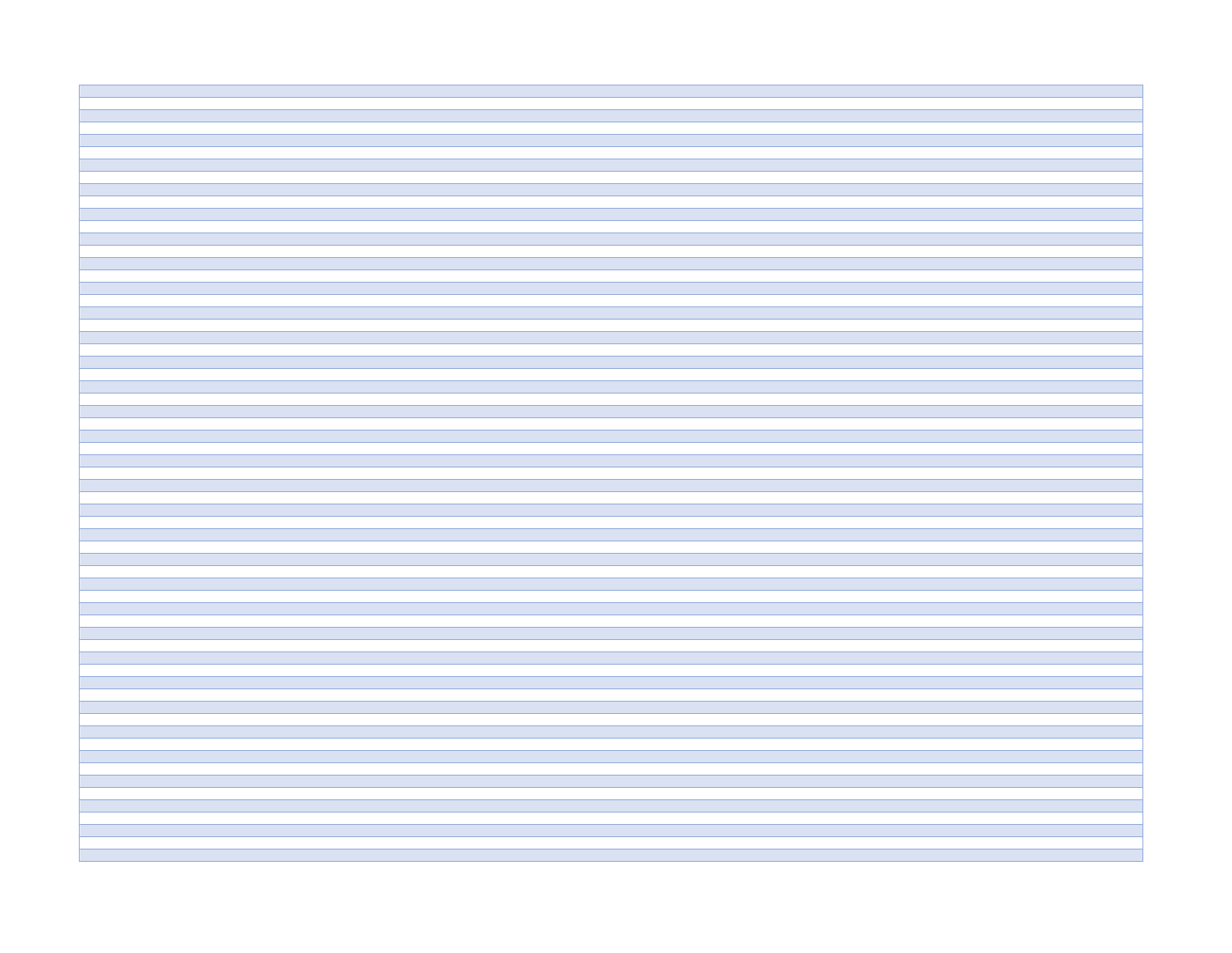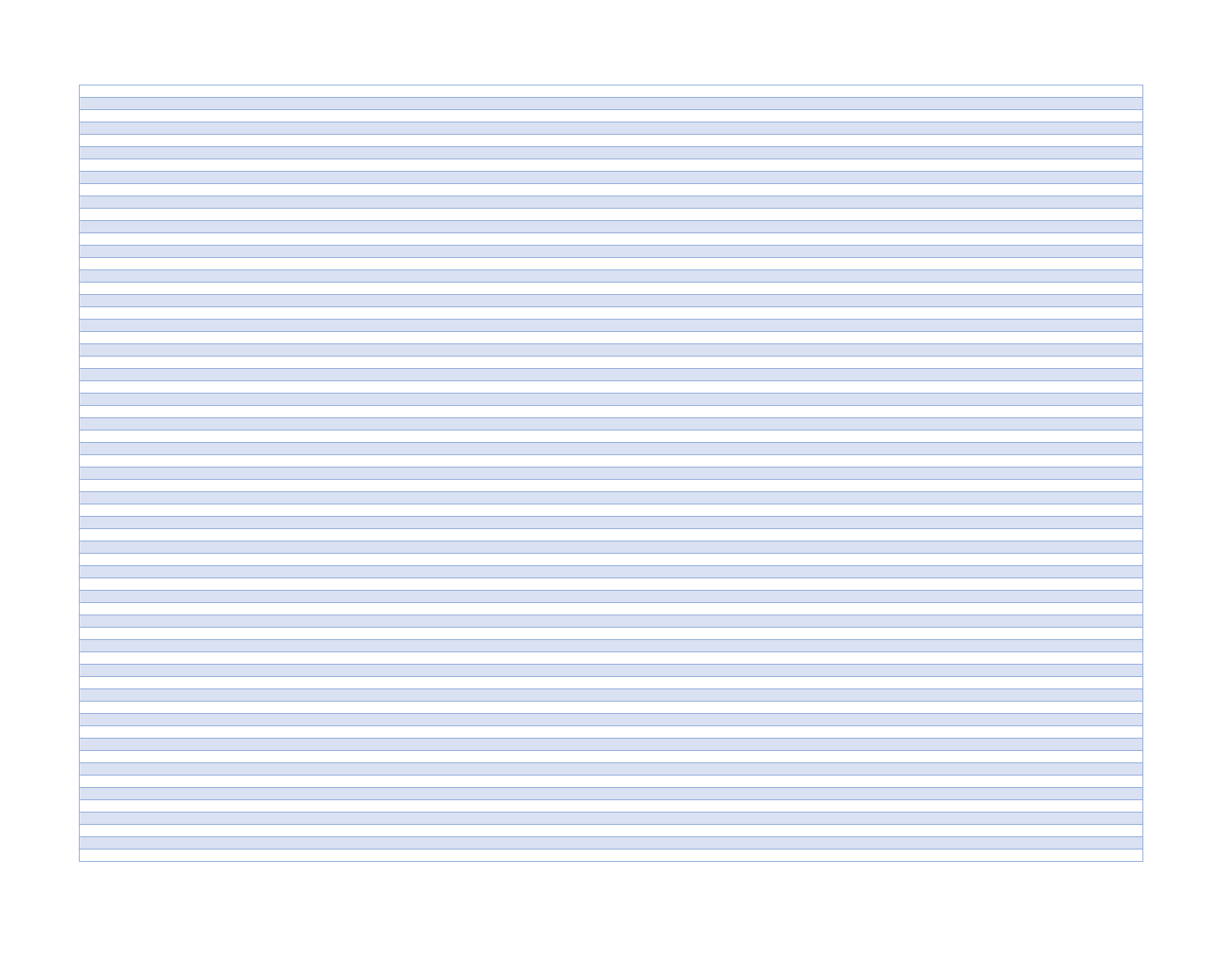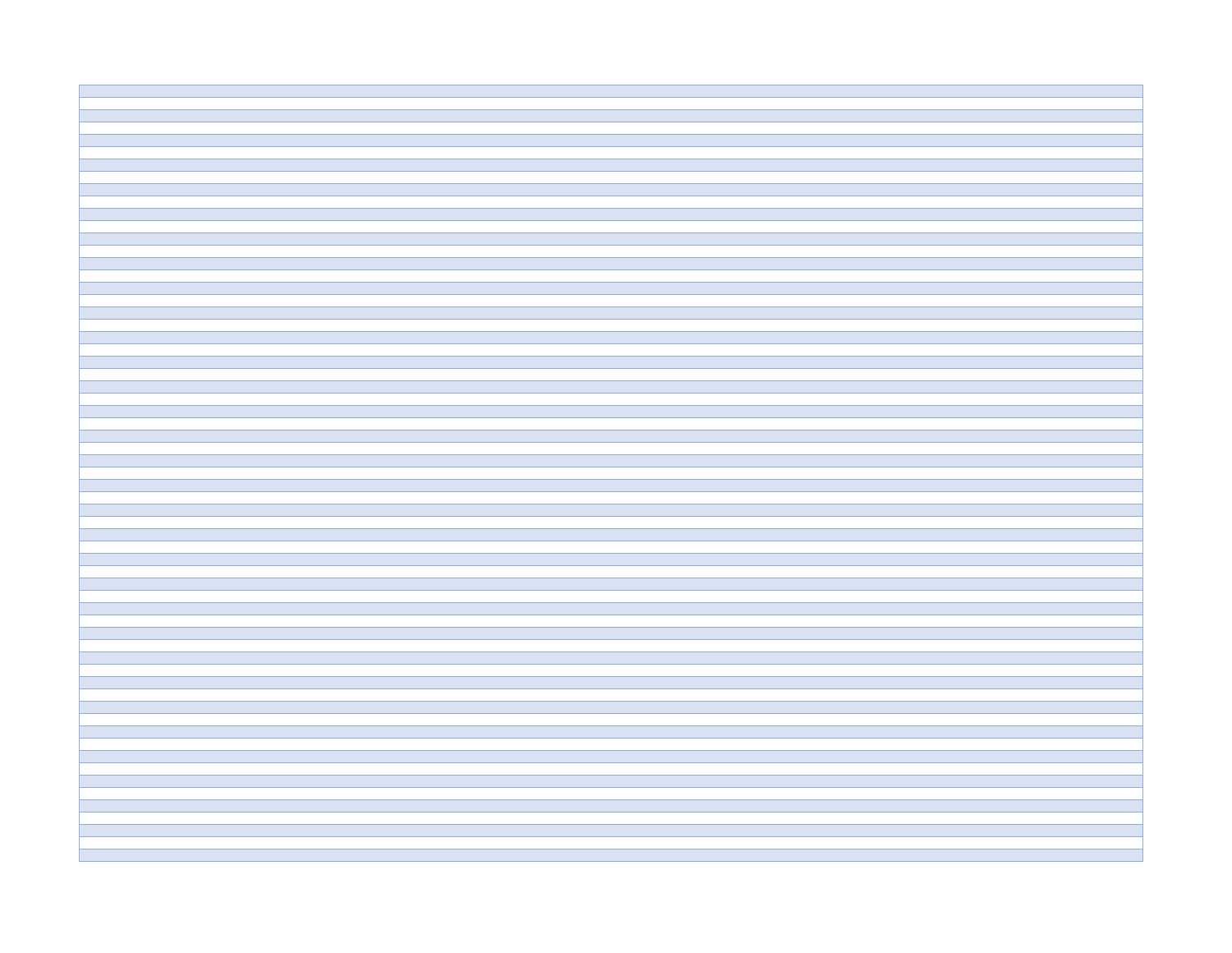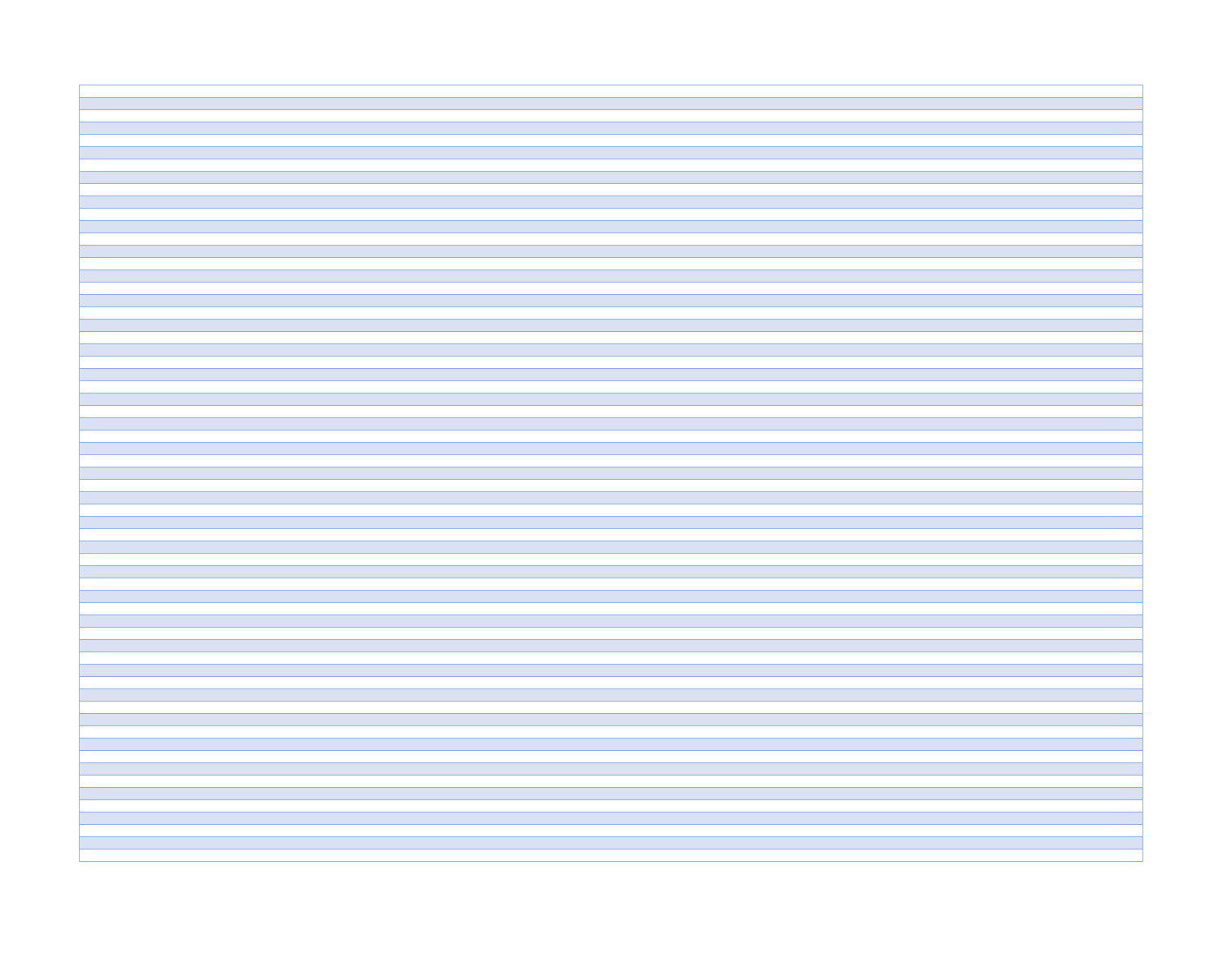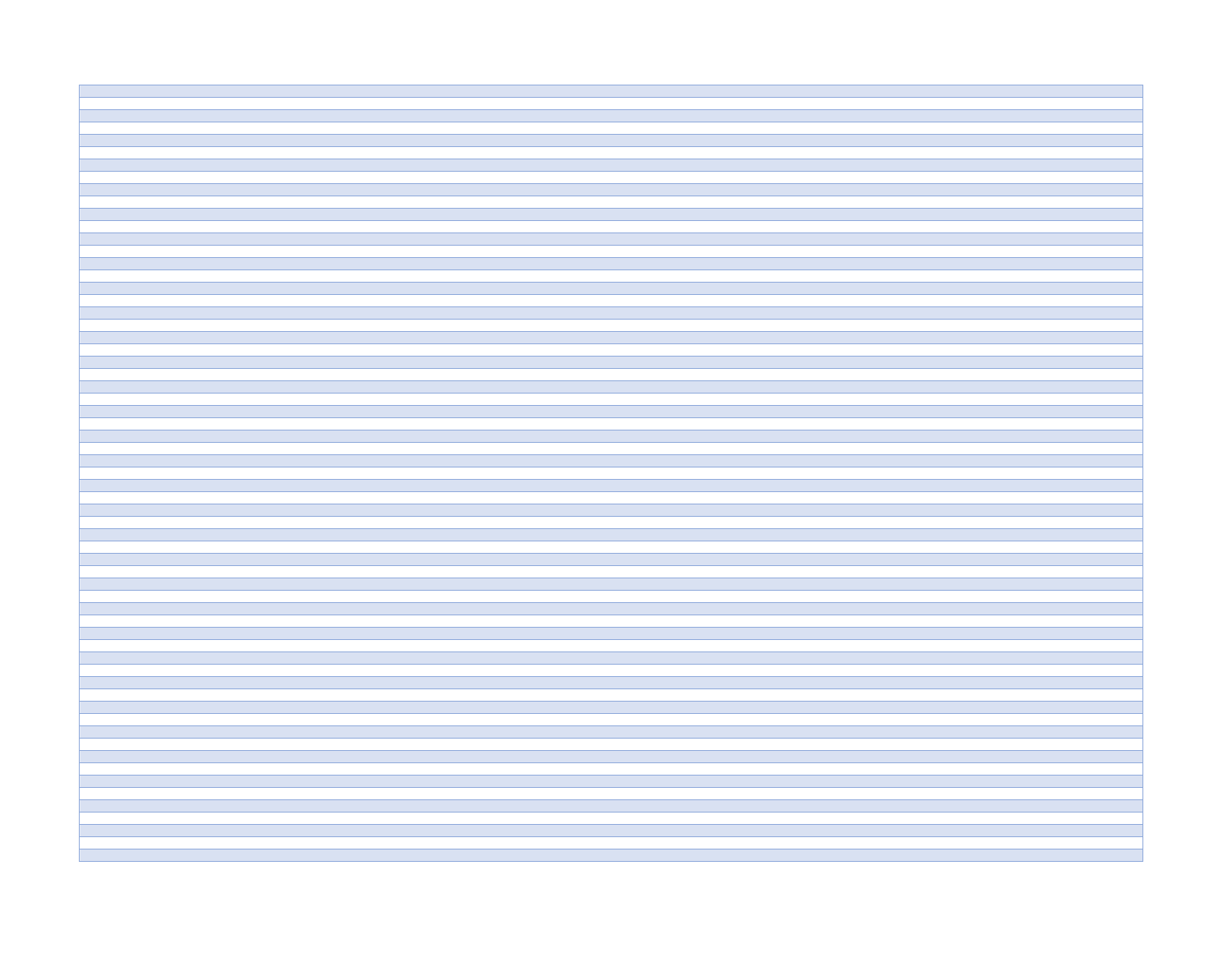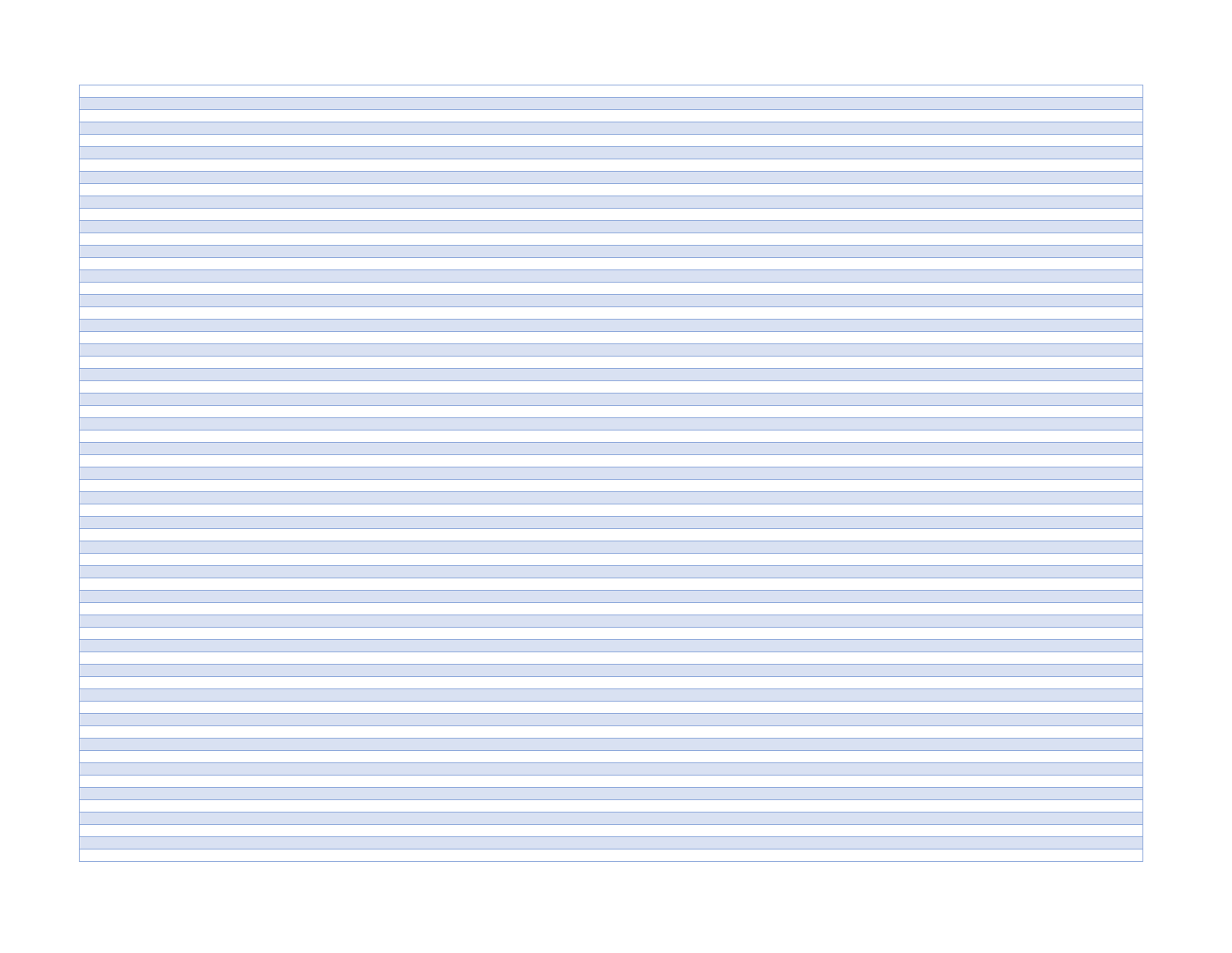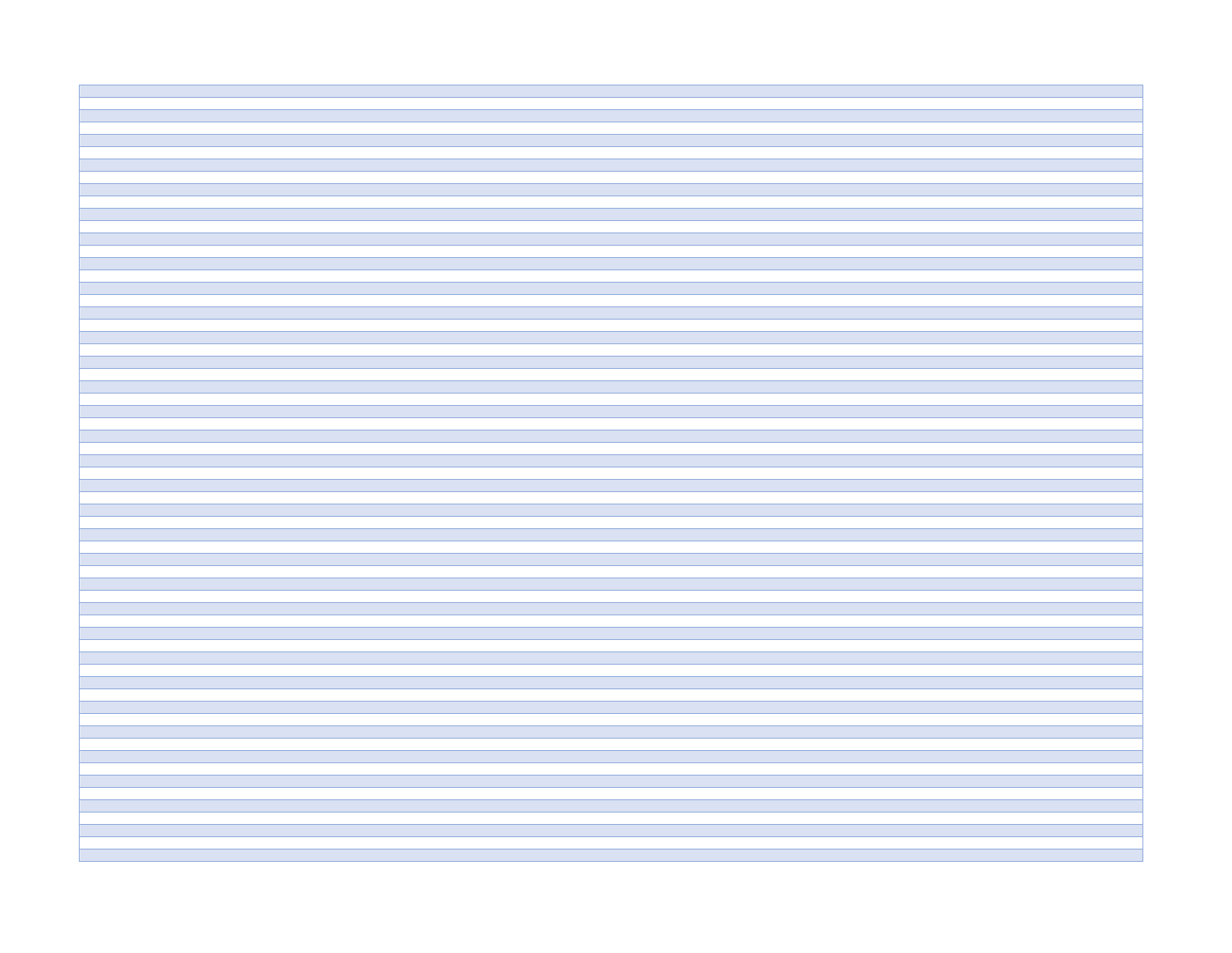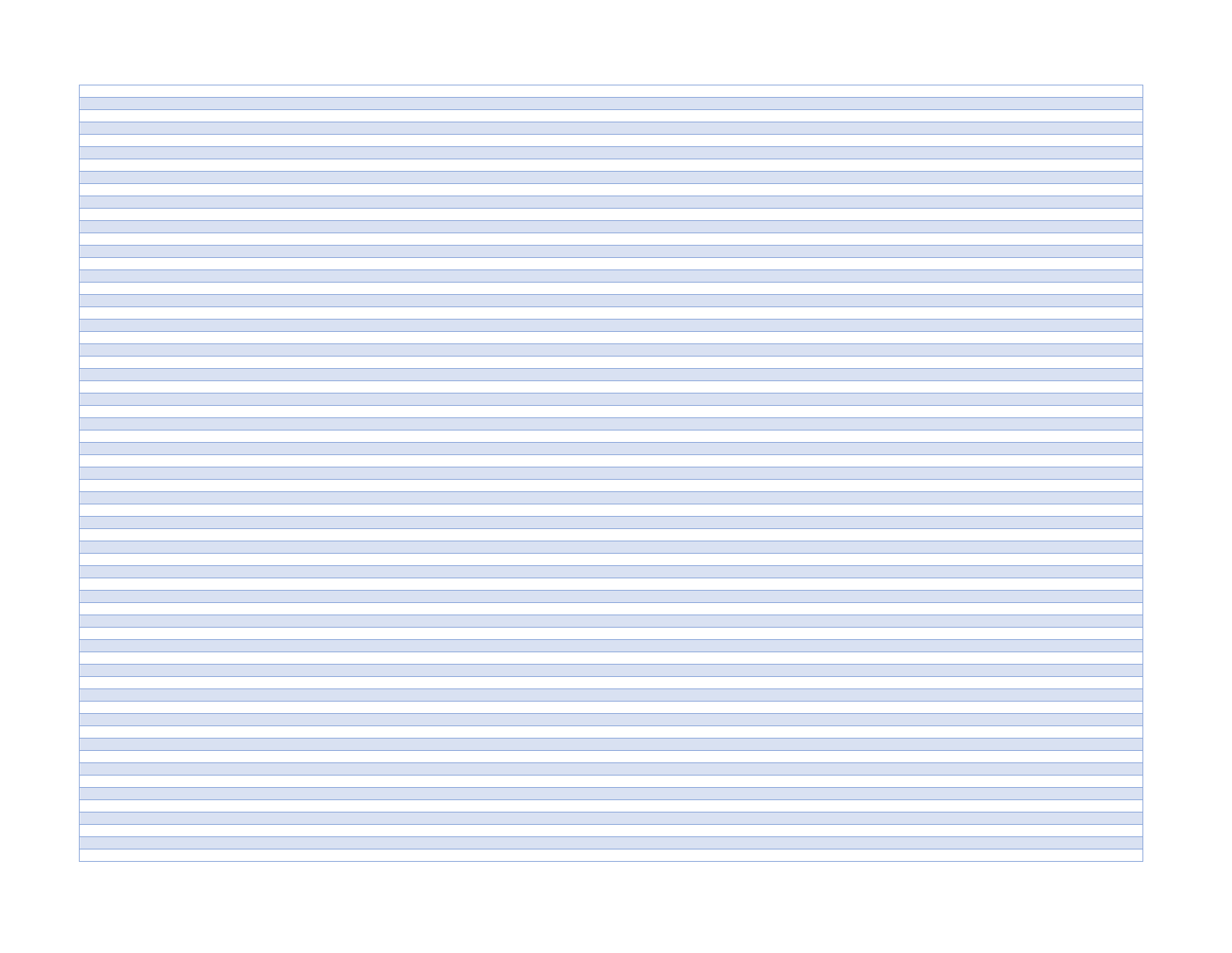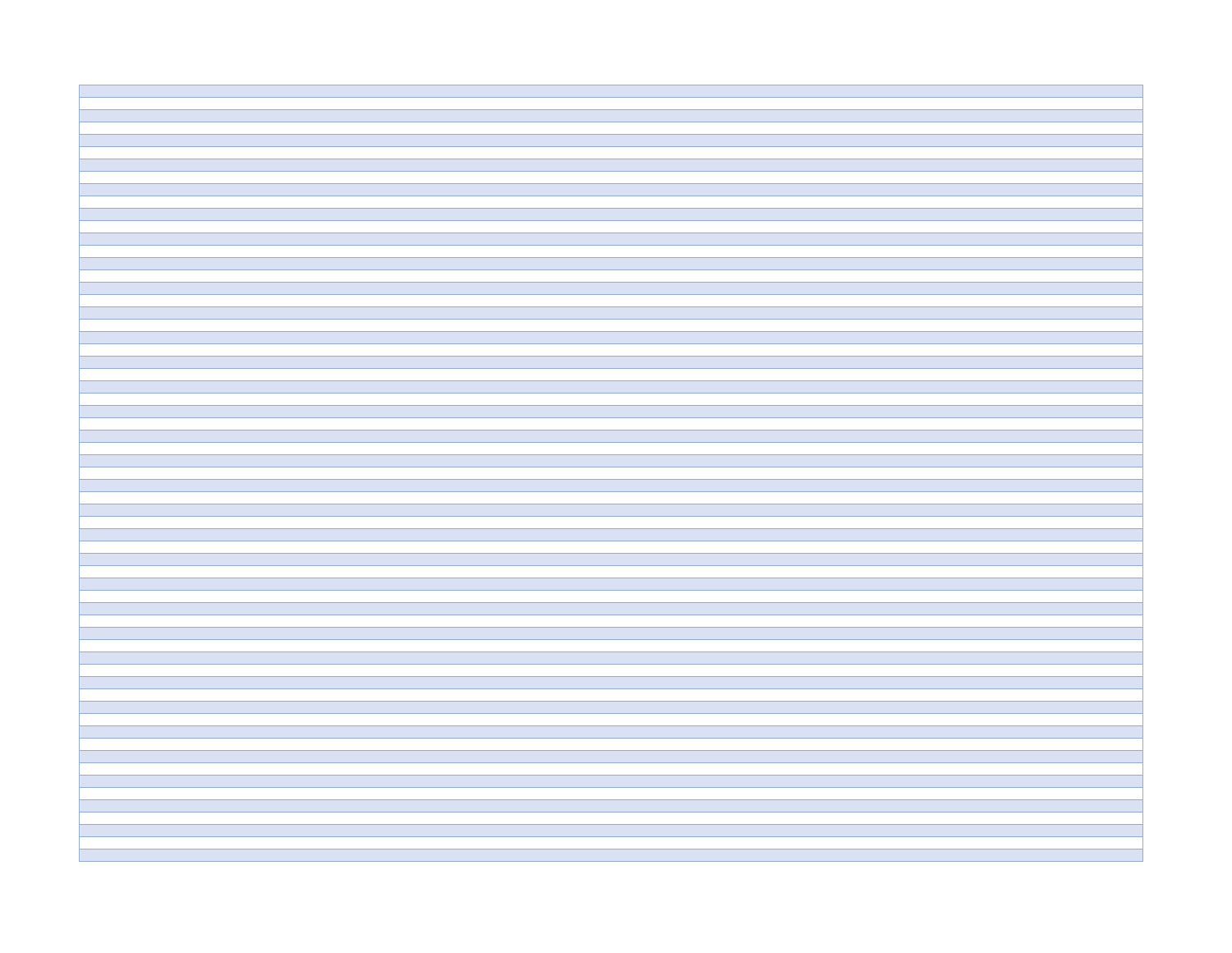